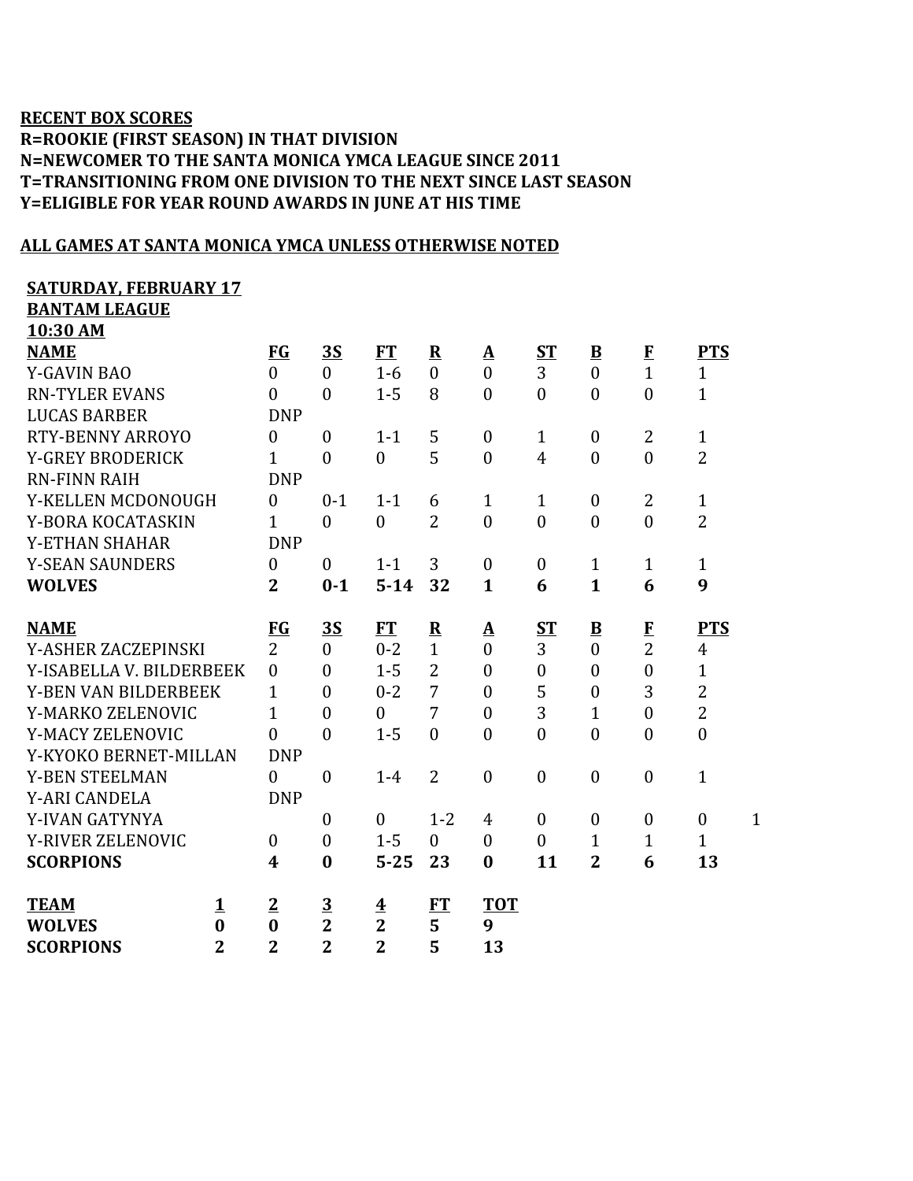## **RECENT BOX SCORES R=ROOKIE (FIRST SEASON) IN THAT DIVISION N=NEWCOMER TO THE SANTA MONICA YMCA LEAGUE SINCE 2011 T=TRANSITIONING FROM ONE DIVISION TO THE NEXT SINCE LAST SEASON Y=ELIGIBLE FOR YEAR ROUND AWARDS IN JUNE AT HIS TIME**

## **ALL GAMES AT SANTA MONICA YMCA UNLESS OTHERWISE NOTED**

## **SATURDAY, FEBRUARY 17**

**BANTAM LEAGUE 10:30 AM**

| <b>TAIS DES</b>             |                |                  |                         |                         |                |                  |                  |                |                  |                  |              |
|-----------------------------|----------------|------------------|-------------------------|-------------------------|----------------|------------------|------------------|----------------|------------------|------------------|--------------|
| <b>NAME</b>                 |                | FG               | <u>35</u>               | FT                      | ${\bf R}$      | $\mathbf A$      | <u>ST</u>        | $\mathbf{B}$   | $\bf{F}$         | <b>PTS</b>       |              |
| <b>Y-GAVIN BAO</b>          |                | $\theta$         | $\theta$                | $1-6$                   | $\theta$       | $\theta$         | 3                | $\Omega$       | $\mathbf{1}$     | $\mathbf{1}$     |              |
| <b>RN-TYLER EVANS</b>       |                | $\mathbf{0}$     | $\overline{0}$          | $1 - 5$                 | 8              | $\overline{0}$   | $\boldsymbol{0}$ | $\mathbf{0}$   | $\overline{0}$   | $\mathbf{1}$     |              |
| <b>LUCAS BARBER</b>         |                | <b>DNP</b>       |                         |                         |                |                  |                  |                |                  |                  |              |
| <b>RTY-BENNY ARROYO</b>     |                | $\theta$         | $\mathbf{0}$            | $1 - 1$                 | 5              | $\boldsymbol{0}$ | $\mathbf{1}$     | $\mathbf{0}$   | $\overline{2}$   | $\mathbf{1}$     |              |
| <b>Y-GREY BRODERICK</b>     |                | 1                | $\overline{0}$          | $\boldsymbol{0}$        | 5              | $\overline{0}$   | $\overline{4}$   | $\mathbf{0}$   | $\overline{0}$   | $\overline{2}$   |              |
| <b>RN-FINN RAIH</b>         |                | <b>DNP</b>       |                         |                         |                |                  |                  |                |                  |                  |              |
| Y-KELLEN MCDONOUGH          |                | $\theta$         | $0 - 1$                 | $1 - 1$                 | 6              | $\mathbf{1}$     | $\mathbf{1}$     | $\overline{0}$ | $\overline{2}$   | $\mathbf{1}$     |              |
| Y-BORA KOCATASKIN           |                | $\mathbf{1}$     | $\mathbf{0}$            | $\boldsymbol{0}$        | $\overline{2}$ | $\overline{0}$   | $\boldsymbol{0}$ | $\mathbf{0}$   | $\overline{0}$   | $\overline{2}$   |              |
| <b>Y-ETHAN SHAHAR</b>       |                | <b>DNP</b>       |                         |                         |                |                  |                  |                |                  |                  |              |
| <b>Y-SEAN SAUNDERS</b>      |                | $\theta$         | $\mathbf{0}$            | $1 - 1$                 | 3              | $\mathbf{0}$     | $\boldsymbol{0}$ | $\mathbf{1}$   | 1                | $\mathbf{1}$     |              |
| <b>WOLVES</b>               |                | $\overline{2}$   | $0 - 1$                 | $5 - 14$                | 32             | $\mathbf{1}$     | 6                | $\mathbf{1}$   | 6                | 9                |              |
|                             |                |                  |                         |                         |                |                  |                  |                |                  |                  |              |
| <b>NAME</b>                 |                | FG               | <u>3S</u>               | <b>FT</b>               | ${\bf R}$      | $\Delta$         | $S_{\rm T}$      | $\mathbf{B}$   | F                | <b>PTS</b>       |              |
| Y-ASHER ZACZEPINSKI         |                | $\overline{2}$   | $\overline{0}$          | $0 - 2$                 | $\mathbf{1}$   | $\overline{0}$   | 3                | $\overline{0}$ | $\overline{2}$   | $\overline{4}$   |              |
| Y-ISABELLA V. BILDERBEEK    |                | $\overline{0}$   | $\overline{0}$          | $1 - 5$                 | $\overline{2}$ | $\overline{0}$   | $\boldsymbol{0}$ | $\mathbf{0}$   | $\boldsymbol{0}$ | $\mathbf{1}$     |              |
| <b>Y-BEN VAN BILDERBEEK</b> |                | 1                | $\theta$                | $0 - 2$                 | 7              | $\overline{0}$   | 5                | $\mathbf{0}$   | 3                | $\overline{2}$   |              |
| Y-MARKO ZELENOVIC           |                | $\mathbf{1}$     | $\overline{0}$          | $\mathbf{0}$            | 7              | $\overline{0}$   | 3                | 1              | $\boldsymbol{0}$ | $\overline{2}$   |              |
| Y-MACY ZELENOVIC            |                | $\theta$         | $\overline{0}$          | $1 - 5$                 | $\mathbf{0}$   | $\overline{0}$   | $\mathbf{0}$     | $\mathbf{0}$   | $\overline{0}$   | $\mathbf{0}$     |              |
| Y-KYOKO BERNET-MILLAN       |                | <b>DNP</b>       |                         |                         |                |                  |                  |                |                  |                  |              |
| <b>Y-BEN STEELMAN</b>       |                | $\theta$         | $\boldsymbol{0}$        | $1 - 4$                 | $\overline{2}$ | $\overline{0}$   | $\boldsymbol{0}$ | $\mathbf{0}$   | $\boldsymbol{0}$ | $\mathbf{1}$     |              |
| <b>Y-ARI CANDELA</b>        |                | <b>DNP</b>       |                         |                         |                |                  |                  |                |                  |                  |              |
| Y-IVAN GATYNYA              |                |                  | $\boldsymbol{0}$        | $\mathbf{0}$            | $1 - 2$        | 4                | $\boldsymbol{0}$ | $\theta$       | $\boldsymbol{0}$ | $\boldsymbol{0}$ | $\mathbf{1}$ |
| <b>Y-RIVER ZELENOVIC</b>    |                | $\mathbf{0}$     | $\boldsymbol{0}$        | $1 - 5$                 | $\theta$       | $\theta$         | $\overline{0}$   | 1              | $\mathbf{1}$     | $\mathbf{1}$     |              |
| <b>SCORPIONS</b>            |                | $\boldsymbol{4}$ | $\bf{0}$                | $5 - 25$                | 23             | $\bf{0}$         | 11               | $\overline{2}$ | 6                | 13               |              |
| <b>TEAM</b>                 | 1              | $\overline{2}$   | $\overline{\mathbf{3}}$ | $\overline{\mathbf{4}}$ | <b>FT</b>      | <b>TOT</b>       |                  |                |                  |                  |              |
| <b>WOLVES</b>               | $\bf{0}$       | $\bf{0}$         | $\overline{\mathbf{2}}$ | $\overline{2}$          | 5              | 9                |                  |                |                  |                  |              |
| <b>SCORPIONS</b>            | $\overline{2}$ | $\overline{2}$   | $\overline{2}$          | $\overline{2}$          | 5              | 13               |                  |                |                  |                  |              |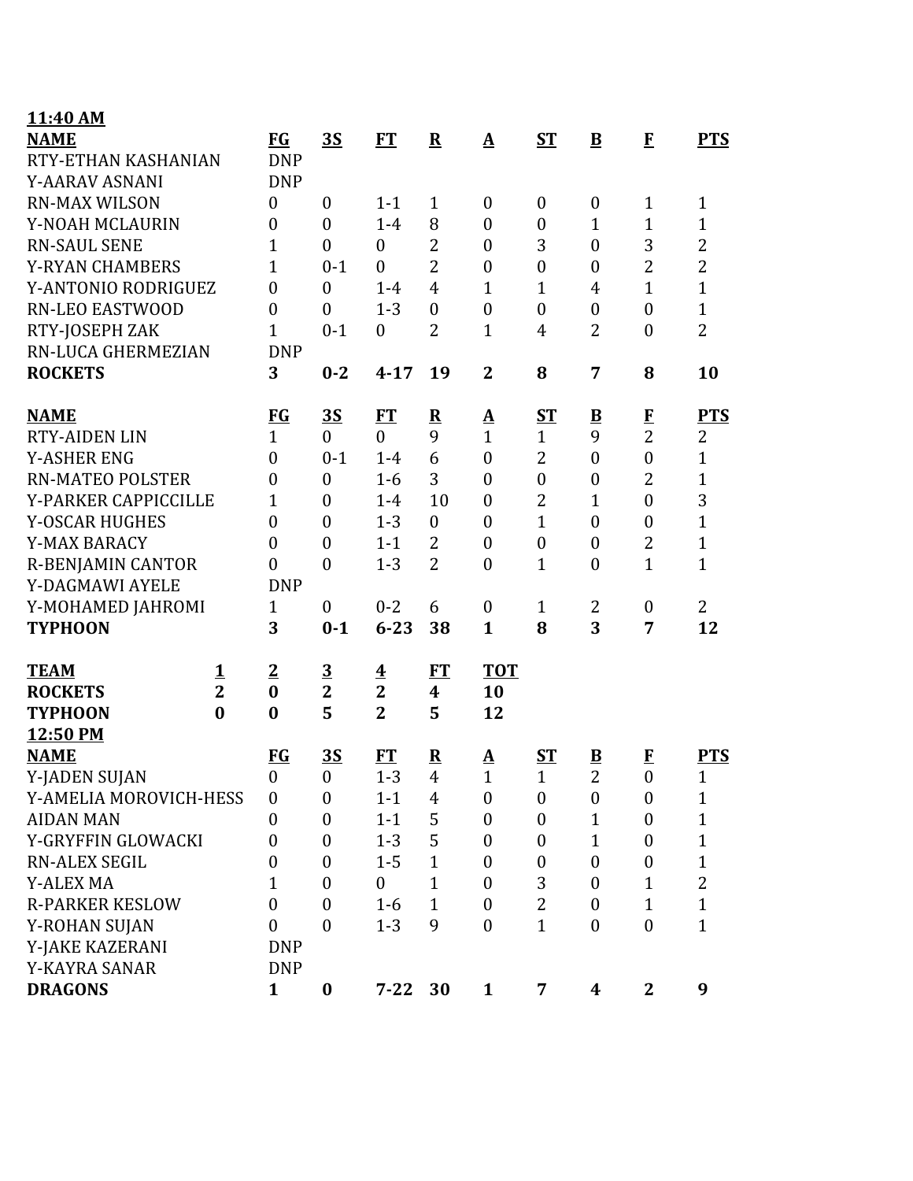| 11:40 AM                 |                         |                  |                  |                         |                  |                   |                  |                         |                  |                |
|--------------------------|-------------------------|------------------|------------------|-------------------------|------------------|-------------------|------------------|-------------------------|------------------|----------------|
| <b>NAME</b>              |                         | <b>FG</b>        | 3S               | FT                      | ${\bf R}$        | $\mathbf{\Delta}$ | <b>ST</b>        | $\bf{B}$                | $\mathbf{F}$     | <b>PTS</b>     |
| RTY-ETHAN KASHANIAN      |                         | <b>DNP</b>       |                  |                         |                  |                   |                  |                         |                  |                |
| Y-AARAV ASNANI           |                         | <b>DNP</b>       |                  |                         |                  |                   |                  |                         |                  |                |
| <b>RN-MAX WILSON</b>     |                         | $\boldsymbol{0}$ | $\mathbf{0}$     | $1 - 1$                 | $\mathbf{1}$     | $\theta$          | $\boldsymbol{0}$ | $\boldsymbol{0}$        | $\mathbf{1}$     | $\mathbf{1}$   |
| Y-NOAH MCLAURIN          |                         | $\boldsymbol{0}$ | $\mathbf{0}$     | $1-4$                   | 8                | $\boldsymbol{0}$  | $\boldsymbol{0}$ | $\mathbf{1}$            | $\mathbf{1}$     | $\mathbf{1}$   |
| <b>RN-SAUL SENE</b>      |                         | 1                | $\mathbf{0}$     | $\overline{0}$          | $\overline{2}$   | $\overline{0}$    | 3                | $\overline{0}$          | 3                | $\overline{2}$ |
| <b>Y-RYAN CHAMBERS</b>   |                         | $\mathbf{1}$     | $0 - 1$          | $\overline{0}$          | $\overline{2}$   | $\boldsymbol{0}$  | $\boldsymbol{0}$ | $\boldsymbol{0}$        | $\overline{2}$   | $\overline{2}$ |
| Y-ANTONIO RODRIGUEZ      |                         | $\mathbf{0}$     | $\mathbf{0}$     | $1-4$                   | $\overline{4}$   | $\mathbf{1}$      | $\mathbf{1}$     | 4                       | $\overline{1}$   | $\mathbf{1}$   |
| <b>RN-LEO EASTWOOD</b>   |                         | $\boldsymbol{0}$ | $\mathbf{0}$     | $1 - 3$                 | $\boldsymbol{0}$ | $\boldsymbol{0}$  | $\boldsymbol{0}$ | $\boldsymbol{0}$        | $\boldsymbol{0}$ | $\mathbf{1}$   |
| RTY-JOSEPH ZAK           |                         | $\mathbf{1}$     | $0 - 1$          | $\overline{0}$          | $\overline{2}$   | $\mathbf{1}$      | 4                | $\overline{2}$          | $\boldsymbol{0}$ | $\overline{2}$ |
| RN-LUCA GHERMEZIAN       |                         | <b>DNP</b>       |                  |                         |                  |                   |                  |                         |                  |                |
| <b>ROCKETS</b>           |                         | 3                | $0 - 2$          | $4 - 17$                | 19               | $\mathbf{2}$      | 8                | 7                       | 8                | 10             |
| <b>NAME</b>              |                         | <b>FG</b>        | $\overline{35}$  | <b>FT</b>               | ${\bf R}$        | $\Delta$          | <b>ST</b>        | $\overline{\mathbf{B}}$ | $\mathbf{F}$     | <b>PTS</b>     |
| <b>RTY-AIDEN LIN</b>     |                         | $\mathbf{1}$     | $\mathbf{0}$     | $\mathbf{0}$            | 9                | $\mathbf{1}$      | $\mathbf{1}$     | 9                       | $\overline{2}$   | 2              |
| <b>Y-ASHER ENG</b>       |                         | $\boldsymbol{0}$ | $0 - 1$          | $1-4$                   | 6                | $\boldsymbol{0}$  | $\overline{2}$   | $\boldsymbol{0}$        | $\boldsymbol{0}$ | $\mathbf{1}$   |
| <b>RN-MATEO POLSTER</b>  |                         | $\boldsymbol{0}$ | $\mathbf{0}$     | $1-6$                   | 3                | $\overline{0}$    | $\boldsymbol{0}$ | $\boldsymbol{0}$        | $\overline{2}$   | $\mathbf{1}$   |
| Y-PARKER CAPPICCILLE     |                         | $\mathbf{1}$     | $\theta$         | $1-4$                   | 10               | $\boldsymbol{0}$  | $\overline{2}$   | $\mathbf{1}$            | $\boldsymbol{0}$ | 3              |
| <b>Y-OSCAR HUGHES</b>    |                         | $\boldsymbol{0}$ | $\mathbf{0}$     | $1 - 3$                 | $\boldsymbol{0}$ | $\boldsymbol{0}$  | $\mathbf{1}$     | $\boldsymbol{0}$        | $\boldsymbol{0}$ | $\mathbf{1}$   |
| <b>Y-MAX BARACY</b>      |                         | $\boldsymbol{0}$ | $\boldsymbol{0}$ | $1 - 1$                 | $\overline{2}$   | $\overline{0}$    | $\boldsymbol{0}$ | $\boldsymbol{0}$        | $\overline{2}$   | $\mathbf{1}$   |
| <b>R-BENJAMIN CANTOR</b> |                         | $\overline{0}$   | $\boldsymbol{0}$ | $1 - 3$                 | $\overline{2}$   | $\boldsymbol{0}$  | $\mathbf{1}$     | $\boldsymbol{0}$        | $\mathbf{1}$     | $\mathbf{1}$   |
| Y-DAGMAWI AYELE          |                         | <b>DNP</b>       |                  |                         |                  |                   |                  |                         |                  |                |
| Y-MOHAMED JAHROMI        |                         | $\mathbf{1}$     | $\mathbf{0}$     | $0 - 2$                 | 6                | $\boldsymbol{0}$  | $\mathbf{1}$     | 2                       | 0                | 2              |
| <b>TYPHOON</b>           |                         | 3                | $0 - 1$          | $6 - 23$                | 38               | $\mathbf{1}$      | 8                | 3                       | 7                | 12             |
| <b>TEAM</b>              | 1                       | $\overline{2}$   | $\overline{3}$   | $\overline{\mathbf{4}}$ | FT               | <b>TOT</b>        |                  |                         |                  |                |
| <b>ROCKETS</b>           | $\overline{\mathbf{2}}$ | $\bf{0}$         | $\mathbf{2}$     | $\overline{2}$          | $\boldsymbol{4}$ | 10                |                  |                         |                  |                |
| <b>TYPHOON</b>           | $\bf{0}$                | $\bf{0}$         | 5                | $\overline{2}$          | 5                | 12                |                  |                         |                  |                |
| 12:50 PM                 |                         |                  |                  |                         |                  |                   |                  |                         |                  |                |
| <b>NAME</b>              |                         | <b>FG</b>        | 3S               | <b>FT</b>               | ${\bf R}$        | $\mathbf{\Delta}$ | $S_{\rm T}$      | $\overline{\mathbf{B}}$ | $\bf{F}$         | <b>PTS</b>     |
| Y-JADEN SUJAN            |                         | $\boldsymbol{0}$ | $\boldsymbol{0}$ | $1 - 3$                 | $\overline{4}$   | $\mathbf 1$       | $\mathbf{1}$     | $\overline{2}$          | 0                | $\mathbf 1$    |
| Y-AMELIA MOROVICH-HESS   |                         | $\boldsymbol{0}$ | $\boldsymbol{0}$ | $1 - 1$                 | 4                | $\boldsymbol{0}$  | $\boldsymbol{0}$ | $\boldsymbol{0}$        | $\boldsymbol{0}$ | $\mathbf{1}$   |
| <b>AIDAN MAN</b>         |                         | $\boldsymbol{0}$ | $\mathbf{0}$     | $1 - 1$                 | 5                | $\boldsymbol{0}$  | $\boldsymbol{0}$ | $\mathbf{1}$            | $\boldsymbol{0}$ | $\mathbf{1}$   |
| Y-GRYFFIN GLOWACKI       |                         | 0                | $\overline{0}$   | $1 - 3$                 | 5                | $\boldsymbol{0}$  | $\boldsymbol{0}$ | $\mathbf{1}$            | $\boldsymbol{0}$ | $\mathbf{1}$   |
| <b>RN-ALEX SEGIL</b>     |                         | $\boldsymbol{0}$ | $\boldsymbol{0}$ | $1 - 5$                 | $\mathbf{1}$     | $\boldsymbol{0}$  | $\boldsymbol{0}$ | $\boldsymbol{0}$        | $\boldsymbol{0}$ | $\mathbf{1}$   |
| <b>Y-ALEX MA</b>         |                         | 1                | $\mathbf{0}$     | $\mathbf{0}$            | $\mathbf{1}$     | $\overline{0}$    | 3                | $\boldsymbol{0}$        | $\mathbf{1}$     | $\overline{2}$ |
| <b>R-PARKER KESLOW</b>   |                         | $\boldsymbol{0}$ | $\boldsymbol{0}$ | $1-6$                   | $\mathbf{1}$     | $\boldsymbol{0}$  | $\overline{2}$   | $\boldsymbol{0}$        | $\mathbf{1}$     | $\mathbf{1}$   |
| Y-ROHAN SUJAN            |                         | $\boldsymbol{0}$ | $\boldsymbol{0}$ | $1 - 3$                 | 9                | $\overline{0}$    | $\mathbf{1}$     | $\boldsymbol{0}$        | $\boldsymbol{0}$ | $\mathbf{1}$   |
| Y-JAKE KAZERANI          |                         | <b>DNP</b>       |                  |                         |                  |                   |                  |                         |                  |                |
| Y-KAYRA SANAR            |                         | <b>DNP</b>       |                  |                         |                  |                   |                  |                         |                  |                |
| <b>DRAGONS</b>           |                         | $\mathbf{1}$     | $\bf{0}$         | $7 - 22$                | 30               | $\mathbf{1}$      | 7                | 4                       | $\overline{2}$   | 9              |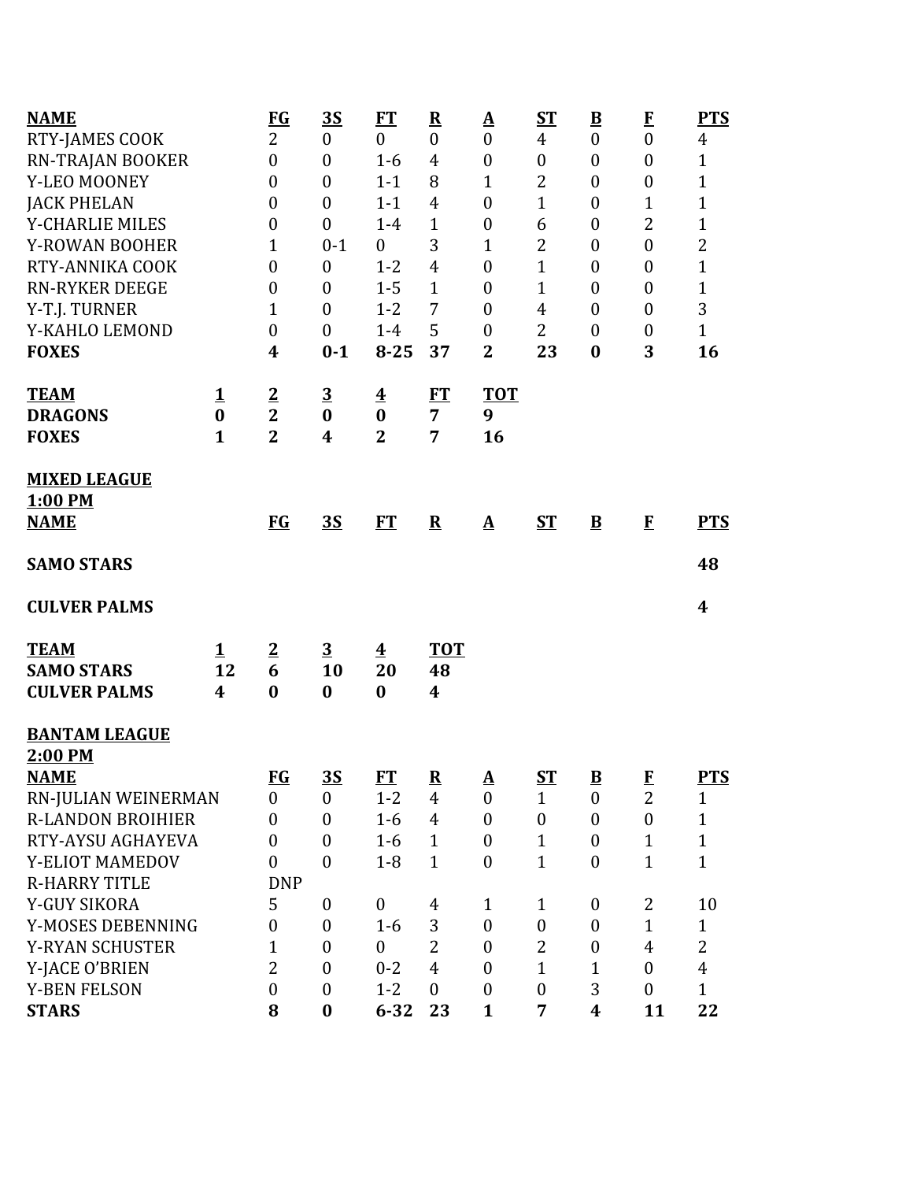| <b>NAME</b>              |              | <b>FG</b>        | <u>3S</u>        | <b>FT</b>               | ${\bf R}$                | <u>A</u>         | ST               | $\underline{\mathbf{B}}$ | $\bf{F}$         | <b>PTS</b>     |
|--------------------------|--------------|------------------|------------------|-------------------------|--------------------------|------------------|------------------|--------------------------|------------------|----------------|
| RTY-JAMES COOK           |              | $\overline{2}$   | $\boldsymbol{0}$ | $\mathbf{0}$            | $\boldsymbol{0}$         | $\boldsymbol{0}$ | $\overline{4}$   | $\boldsymbol{0}$         | $\boldsymbol{0}$ | $\overline{4}$ |
| RN-TRAJAN BOOKER         |              | $\boldsymbol{0}$ | $\boldsymbol{0}$ | $1 - 6$                 | 4                        | $\boldsymbol{0}$ | $\boldsymbol{0}$ | $\boldsymbol{0}$         | $\boldsymbol{0}$ | $\mathbf{1}$   |
| Y-LEO MOONEY             |              | $\boldsymbol{0}$ | $\boldsymbol{0}$ | $1 - 1$                 | 8                        | 1                | $\overline{2}$   | $\boldsymbol{0}$         | $\boldsymbol{0}$ | $\overline{1}$ |
| <b>JACK PHELAN</b>       |              | $\boldsymbol{0}$ | $\overline{0}$   | $1 - 1$                 | 4                        | $\boldsymbol{0}$ | $\mathbf{1}$     | $\boldsymbol{0}$         | 1                | $\mathbf{1}$   |
| Y-CHARLIE MILES          |              | $\boldsymbol{0}$ | $\boldsymbol{0}$ | $1-4$                   | $\mathbf{1}$             | $\boldsymbol{0}$ | 6                | $\boldsymbol{0}$         | $\overline{2}$   | $\mathbf{1}$   |
| Y-ROWAN BOOHER           |              | 1                | $0 - 1$          | $\boldsymbol{0}$        | 3                        | 1                | 2                | $\boldsymbol{0}$         | $\boldsymbol{0}$ | $\overline{c}$ |
| RTY-ANNIKA COOK          |              | $\boldsymbol{0}$ | $\boldsymbol{0}$ | $1 - 2$                 | $\overline{4}$           | $\boldsymbol{0}$ | $\overline{1}$   | $\boldsymbol{0}$         | $\boldsymbol{0}$ | $\mathbf{1}$   |
| <b>RN-RYKER DEEGE</b>    |              | $\boldsymbol{0}$ | $\boldsymbol{0}$ | $1 - 5$                 | $\mathbf{1}$             | $\boldsymbol{0}$ | $\mathbf{1}$     | $\boldsymbol{0}$         | $\boldsymbol{0}$ | $\mathbf{1}$   |
| Y-T.J. TURNER            |              | 1                | $\boldsymbol{0}$ | $1 - 2$                 | 7                        | $\boldsymbol{0}$ | $\overline{4}$   | $\boldsymbol{0}$         | $\boldsymbol{0}$ | 3              |
| Y-KAHLO LEMOND           |              | $\boldsymbol{0}$ | $\boldsymbol{0}$ | $1 - 4$                 | 5                        | $\boldsymbol{0}$ | $\overline{2}$   | $\boldsymbol{0}$         | $\boldsymbol{0}$ | $\mathbf{1}$   |
| <b>FOXES</b>             |              | 4                | $0 - 1$          | $8 - 25$                | 37                       | $\mathbf{2}$     | 23               | $\bf{0}$                 | 3                | 16             |
| <b>TEAM</b>              | 1            | $\overline{2}$   | $\overline{3}$   | $\overline{\mathbf{4}}$ | ET                       | <b>TOT</b>       |                  |                          |                  |                |
| <b>DRAGONS</b>           | $\bf{0}$     | $\overline{2}$   | $\bf{0}$         | $\bf{0}$                | $\overline{7}$           | 9                |                  |                          |                  |                |
| <b>FOXES</b>             | $\mathbf{1}$ | $\overline{2}$   | 4                | $\overline{2}$          | 7                        | 16               |                  |                          |                  |                |
| <b>MIXED LEAGUE</b>      |              |                  |                  |                         |                          |                  |                  |                          |                  |                |
| 1:00 PM                  |              |                  |                  |                         |                          |                  |                  |                          |                  |                |
| <b>NAME</b>              |              | <b>FG</b>        | <u>3S</u>        | FT                      | ${\bf R}$                | $\mathbf A$      | <b>ST</b>        | $\mathbf{B}$             | $\bf{F}$         | <b>PTS</b>     |
|                          |              |                  |                  |                         |                          |                  |                  |                          |                  |                |
| <b>SAMO STARS</b>        |              |                  |                  |                         |                          |                  |                  |                          |                  | 48             |
| <b>CULVER PALMS</b>      |              |                  |                  |                         |                          |                  |                  |                          |                  | 4              |
| <b>TEAM</b>              | $\mathbf 1$  | $\overline{2}$   | $\overline{3}$   | $\overline{\mathbf{4}}$ | <b>TOT</b>               |                  |                  |                          |                  |                |
| <b>SAMO STARS</b>        | 12           | 6                | 10               | 20                      | 48                       |                  |                  |                          |                  |                |
| <b>CULVER PALMS</b>      | 4            | $\bf{0}$         | $\bf{0}$         | $\bf{0}$                | 4                        |                  |                  |                          |                  |                |
| <b>BANTAM LEAGUE</b>     |              |                  |                  |                         |                          |                  |                  |                          |                  |                |
| 2:00 PM                  |              |                  |                  |                         |                          |                  |                  |                          |                  |                |
| <b>NAME</b>              |              | <b>FG</b>        | <u>35</u>        | FT                      | $\underline{\mathbf{R}}$ | ${\bf A}$        | $ST$             | $\underline{\mathbf{B}}$ | $\bf{F}$         | <b>PTS</b>     |
| RN-JULIAN WEINERMAN      |              | $\boldsymbol{0}$ | $\overline{0}$   | $1 - 2$                 | $\overline{4}$           | $\overline{0}$   | $\mathbf{1}$     | $\boldsymbol{0}$         | $\overline{2}$   | $\mathbf{1}$   |
| <b>R-LANDON BROIHIER</b> |              | $\boldsymbol{0}$ | $\boldsymbol{0}$ | $1-6$                   | $\overline{4}$           | $\boldsymbol{0}$ | $\boldsymbol{0}$ | $\boldsymbol{0}$         | $\boldsymbol{0}$ | $\mathbf{1}$   |
| RTY-AYSU AGHAYEVA        |              | $\boldsymbol{0}$ | $\overline{0}$   | $1-6$                   | $\mathbf{1}$             | $\boldsymbol{0}$ | $\mathbf{1}$     | $\boldsymbol{0}$         | $\mathbf{1}$     | $\mathbf{1}$   |
| Y-ELIOT MAMEDOV          |              | $\boldsymbol{0}$ | $\overline{0}$   | $1 - 8$                 | $\mathbf{1}$             | $\boldsymbol{0}$ | $\overline{1}$   | $\overline{0}$           | $\mathbf{1}$     | $\mathbf{1}$   |
| <b>R-HARRY TITLE</b>     |              | <b>DNP</b>       |                  |                         |                          |                  |                  |                          |                  |                |
| Y-GUY SIKORA             |              | 5                | $\boldsymbol{0}$ | $\boldsymbol{0}$        | 4                        | $\mathbf{1}$     | $\mathbf{1}$     | $\boldsymbol{0}$         | 2                | 10             |
| Y-MOSES DEBENNING        |              | $\boldsymbol{0}$ | $\boldsymbol{0}$ | $1-6$                   | 3                        | $\boldsymbol{0}$ | $\boldsymbol{0}$ | $\boldsymbol{0}$         | $\mathbf{1}$     | $\mathbf{1}$   |
| <b>Y-RYAN SCHUSTER</b>   |              | $\mathbf{1}$     | $\boldsymbol{0}$ | $\overline{0}$          | $\overline{2}$           | $\boldsymbol{0}$ | $\overline{2}$   | $\boldsymbol{0}$         | $\overline{4}$   | $\overline{2}$ |
| Y-JACE O'BRIEN           |              | $\overline{2}$   | $\overline{0}$   | $0 - 2$                 | $\overline{4}$           | $\boldsymbol{0}$ | $\mathbf{1}$     | $\mathbf{1}$             | $\mathbf{0}$     | $\overline{4}$ |
| <b>Y-BEN FELSON</b>      |              | $\boldsymbol{0}$ | $\boldsymbol{0}$ | $1 - 2$                 | $\overline{0}$           | $\boldsymbol{0}$ | $\boldsymbol{0}$ | 3                        | $\mathbf{0}$     | $\mathbf{1}$   |
| <b>STARS</b>             |              | 8                | $\bf{0}$         | $6 - 32$                | 23                       | $\mathbf{1}$     | 7                | 4                        | 11               | 22             |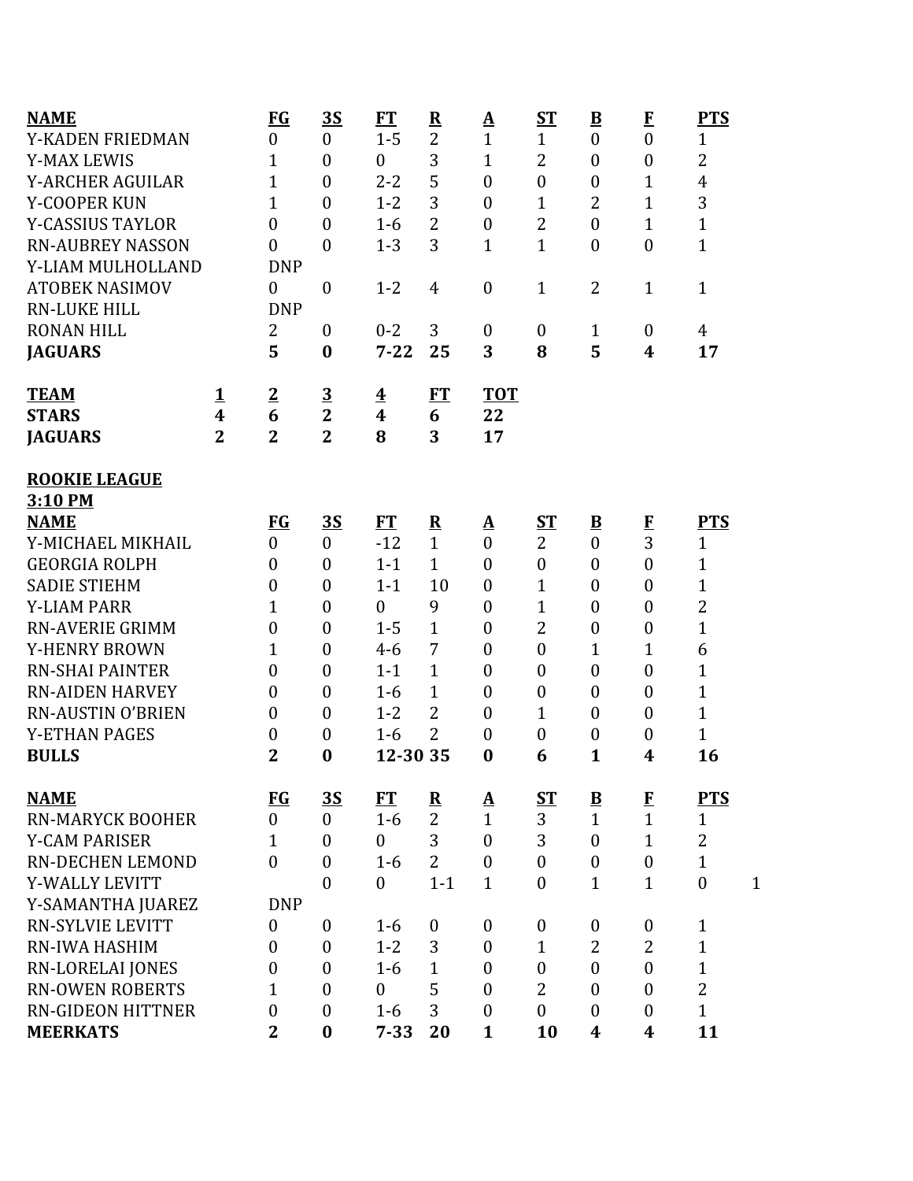| <b>NAME</b>              |                | <b>FG</b>        | <u>35</u>        | <b>FT</b>               | $\overline{\mathbf{R}}$ | <u>A</u>                 | ST               | $\underline{\mathbf{B}}$ | $\bf{F}$         | <b>PTS</b>                       |
|--------------------------|----------------|------------------|------------------|-------------------------|-------------------------|--------------------------|------------------|--------------------------|------------------|----------------------------------|
| Y-KADEN FRIEDMAN         |                | $\boldsymbol{0}$ | $\boldsymbol{0}$ | $1 - 5$                 | $\overline{2}$          | $\mathbf{1}$             | $\mathbf{1}$     | $\boldsymbol{0}$         | $\overline{0}$   | $\mathbf{1}$                     |
| <b>Y-MAX LEWIS</b>       |                | $\mathbf{1}$     | $\boldsymbol{0}$ | $\boldsymbol{0}$        | 3                       | $\mathbf{1}$             | $\overline{2}$   | $\overline{0}$           | $\boldsymbol{0}$ | $\overline{2}$                   |
| <b>Y-ARCHER AGUILAR</b>  |                | 1                | $\boldsymbol{0}$ | $2 - 2$                 | 5                       | $\mathbf{0}$             | $\boldsymbol{0}$ | $\boldsymbol{0}$         | $\mathbf{1}$     | $\overline{4}$                   |
| Y-COOPER KUN             |                | $\mathbf{1}$     | $\mathbf{0}$     | $1 - 2$                 | 3                       | $\mathbf{0}$             | $\mathbf{1}$     | $\overline{2}$           | $\mathbf{1}$     | 3                                |
| <b>Y-CASSIUS TAYLOR</b>  |                | $\boldsymbol{0}$ | $\theta$         | $1-6$                   | $\overline{2}$          | $\boldsymbol{0}$         | 2                | $\overline{0}$           | $\mathbf{1}$     | $\mathbf{1}$                     |
| <b>RN-AUBREY NASSON</b>  |                | $\theta$         | $\theta$         | $1 - 3$                 | 3                       | $\mathbf{1}$             | $\mathbf{1}$     | $\boldsymbol{0}$         | $\boldsymbol{0}$ | $\mathbf{1}$                     |
| Y-LIAM MULHOLLAND        |                | <b>DNP</b>       |                  |                         |                         |                          |                  |                          |                  |                                  |
| <b>ATOBEK NASIMOV</b>    |                | $\boldsymbol{0}$ | $\boldsymbol{0}$ | $1 - 2$                 | 4                       | $\boldsymbol{0}$         | $\mathbf{1}$     | $\overline{2}$           | $\mathbf{1}$     | $\mathbf{1}$                     |
| <b>RN-LUKE HILL</b>      |                | <b>DNP</b>       |                  |                         |                         |                          |                  |                          |                  |                                  |
| <b>RONAN HILL</b>        |                | 2                | $\mathbf{0}$     | $0 - 2$                 | 3                       | $\mathbf{0}$             | $\boldsymbol{0}$ | $\mathbf{1}$             | $\boldsymbol{0}$ | 4                                |
| <b>JAGUARS</b>           |                | 5                | $\bf{0}$         | $7 - 22$                | 25                      | 3                        | 8                | 5                        | 4                | 17                               |
| <b>TEAM</b>              | 1              | $\overline{2}$   | $\overline{3}$   | $\overline{\mathbf{4}}$ | FT                      | <b>TOT</b>               |                  |                          |                  |                                  |
| <b>STARS</b>             | 4              | 6                | $\overline{2}$   | $\boldsymbol{4}$        | 6                       | 22                       |                  |                          |                  |                                  |
| <b>JAGUARS</b>           | $\overline{2}$ | $\overline{2}$   | $\overline{2}$   | 8                       | 3                       | 17                       |                  |                          |                  |                                  |
| <b>ROOKIE LEAGUE</b>     |                |                  |                  |                         |                         |                          |                  |                          |                  |                                  |
| 3:10 PM                  |                |                  |                  |                         |                         |                          |                  |                          |                  |                                  |
| <b>NAME</b>              |                | <b>FG</b>        | <u>35</u>        | ET                      | $\overline{\mathbf{R}}$ | $\mathbf{\underline{A}}$ | <u>ST</u>        | $\overline{\mathbf{B}}$  | $\bf{F}$         | <b>PTS</b>                       |
| Y-MICHAEL MIKHAIL        |                | $\overline{0}$   | $\boldsymbol{0}$ | $-12$                   | $\mathbf{1}$            | $\mathbf{0}$             | $\overline{2}$   | $\overline{0}$           | $\overline{3}$   | $\mathbf{1}$                     |
| <b>GEORGIA ROLPH</b>     |                | $\boldsymbol{0}$ | $\mathbf{0}$     | $1 - 1$                 | $\mathbf{1}$            | $\overline{0}$           | $\boldsymbol{0}$ | $\boldsymbol{0}$         | $\overline{0}$   | $\mathbf{1}$                     |
| <b>SADIE STIEHM</b>      |                | $\boldsymbol{0}$ | $\boldsymbol{0}$ | $1 - 1$                 | 10                      | $\mathbf{0}$             | $\mathbf{1}$     | $\overline{0}$           | $\boldsymbol{0}$ | $\mathbf{1}$                     |
| <b>Y-LIAM PARR</b>       |                | 1                | $\boldsymbol{0}$ | $\boldsymbol{0}$        | 9                       | $\boldsymbol{0}$         | $\mathbf{1}$     | $\overline{0}$           | $\boldsymbol{0}$ | $\overline{2}$                   |
| <b>RN-AVERIE GRIMM</b>   |                | $\overline{0}$   | $\boldsymbol{0}$ | $1 - 5$                 | $\mathbf{1}$            | $\boldsymbol{0}$         | 2                | $\overline{0}$           | $\boldsymbol{0}$ | $\mathbf{1}$                     |
| <b>Y-HENRY BROWN</b>     |                | 1                | $\boldsymbol{0}$ | $4 - 6$                 | 7                       | $\boldsymbol{0}$         | $\boldsymbol{0}$ | $\mathbf{1}$             | $\mathbf{1}$     | 6                                |
| <b>RN-SHAI PAINTER</b>   |                | $\overline{0}$   | $\boldsymbol{0}$ | $1 - 1$                 | $\mathbf{1}$            | $\mathbf{0}$             | $\boldsymbol{0}$ | $\overline{0}$           | $\overline{0}$   | $\mathbf{1}$                     |
| <b>RN-AIDEN HARVEY</b>   |                | $\boldsymbol{0}$ | $\boldsymbol{0}$ | $1 - 6$                 | 1                       | $\mathbf{0}$             | $\boldsymbol{0}$ | $\overline{0}$           | $\boldsymbol{0}$ | 1                                |
| <b>RN-AUSTIN O'BRIEN</b> |                | $\overline{0}$   | $\boldsymbol{0}$ | $1 - 2$                 | $\overline{2}$          | $\boldsymbol{0}$         | $\mathbf{1}$     | $\overline{0}$           | $\boldsymbol{0}$ | $\mathbf{1}$                     |
| <b>Y-ETHAN PAGES</b>     |                | 0                | $\boldsymbol{0}$ | $1-6$                   | $\overline{2}$          | $\mathbf{0}$             | $\boldsymbol{0}$ | $\boldsymbol{0}$         | $\boldsymbol{0}$ | $\mathbf{1}$                     |
| <b>BULLS</b>             |                | $\overline{2}$   | $\bf{0}$         | 12-30 35                |                         | $\bf{0}$                 | 6                | $\mathbf{1}$             | 4                | 16                               |
| <b>NAME</b>              |                | $FG$             | <u>35</u>        | <b>FT</b>               | $\overline{\mathbf{R}}$ | <u>A</u>                 | <u>ST</u>        | $\underline{\mathbf{B}}$ | $\bf{F}$         | <b>PTS</b>                       |
| <b>RN-MARYCK BOOHER</b>  |                | $\overline{0}$   | $\overline{0}$   | $1-6$                   | $\overline{2}$          | $\mathbf{1}$             | 3                | $\mathbf{1}$             | $\mathbf{1}$     | $\mathbf{1}$                     |
| <b>Y-CAM PARISER</b>     |                | 1                | $\mathbf{0}$     | $\boldsymbol{0}$        | 3                       | $\mathbf{0}$             | 3                | $\overline{0}$           | $\mathbf{1}$     | $\overline{2}$                   |
| <b>RN-DECHEN LEMOND</b>  |                | $\theta$         | $\mathbf{0}$     | $1 - 6$                 | $\overline{2}$          | $\overline{0}$           | $\boldsymbol{0}$ | $\mathbf{0}$             | $\boldsymbol{0}$ | $\mathbf 1$                      |
| Y-WALLY LEVITT           |                |                  | $\boldsymbol{0}$ | $\boldsymbol{0}$        | $1 - 1$                 | $\mathbf{1}$             | $\boldsymbol{0}$ | $\mathbf{1}$             | $\mathbf{1}$     | $\boldsymbol{0}$<br>$\mathbf{1}$ |
| Y-SAMANTHA JUAREZ        |                | <b>DNP</b>       |                  |                         |                         |                          |                  |                          |                  |                                  |
| <b>RN-SYLVIE LEVITT</b>  |                | $\boldsymbol{0}$ | $\boldsymbol{0}$ | $1 - 6$                 | $\boldsymbol{0}$        | $\mathbf{0}$             | $\boldsymbol{0}$ | $\boldsymbol{0}$         | $\boldsymbol{0}$ | $\mathbf{1}$                     |
| <b>RN-IWA HASHIM</b>     |                | $\boldsymbol{0}$ | $\boldsymbol{0}$ | $1 - 2$                 | 3                       | $\boldsymbol{0}$         | 1                | $\overline{2}$           | $\overline{2}$   | $\mathbf{1}$                     |
| <b>RN-LORELAI JONES</b>  |                | $\boldsymbol{0}$ | $\mathbf{0}$     | $1-6$                   | $\mathbf{1}$            | $\overline{0}$           | $\boldsymbol{0}$ | $\overline{0}$           | $\mathbf{0}$     | $\mathbf{1}$                     |
| <b>RN-OWEN ROBERTS</b>   |                | 1                | $\boldsymbol{0}$ | $\boldsymbol{0}$        | 5                       | $\boldsymbol{0}$         | $\overline{2}$   | $\boldsymbol{0}$         | $\boldsymbol{0}$ | $\overline{2}$                   |
| <b>RN-GIDEON HITTNER</b> |                | $\boldsymbol{0}$ | $\boldsymbol{0}$ | $1-6$                   | 3                       | $\boldsymbol{0}$         | $\boldsymbol{0}$ | $\overline{0}$           | $\boldsymbol{0}$ | $\mathbf{1}$                     |
| <b>MEERKATS</b>          |                | $\overline{2}$   | $\bf{0}$         | $7 - 33$                | 20                      | $\mathbf{1}$             | 10               | 4                        | 4                | 11                               |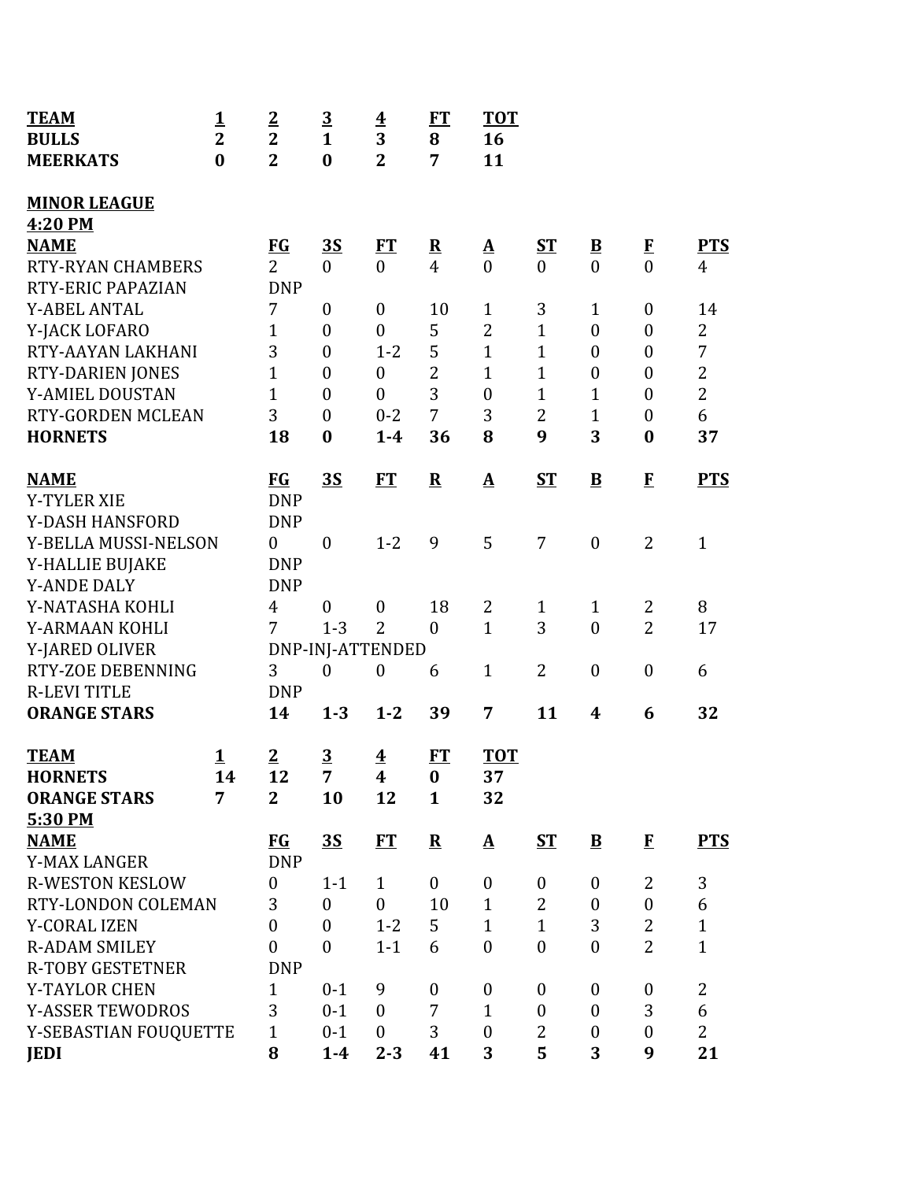| <b>TEAM</b>                        | <u>1</u>       | $\overline{2}$   | $\overline{3}$   | $\overline{\mathbf{4}}$ | ET                      | <b>TOT</b>        |                  |                         |                  |                |
|------------------------------------|----------------|------------------|------------------|-------------------------|-------------------------|-------------------|------------------|-------------------------|------------------|----------------|
| <b>BULLS</b>                       | $\overline{2}$ | $\overline{2}$   | $\mathbf{1}$     | 3                       | 8                       | 16                |                  |                         |                  |                |
| <b>MEERKATS</b>                    | $\bf{0}$       | $\overline{2}$   | $\bf{0}$         | $\overline{2}$          | 7                       | 11                |                  |                         |                  |                |
| <b>MINOR LEAGUE</b><br>4:20 PM     |                |                  |                  |                         |                         |                   |                  |                         |                  |                |
| <b>NAME</b>                        |                | <b>FG</b>        | <u>35</u>        | FT                      | $\overline{\mathbf{R}}$ | $\Delta$          | <u>ST</u>        | $\overline{\mathbf{B}}$ | $\bf{F}$         | <b>PTS</b>     |
| <b>RTY-RYAN CHAMBERS</b>           |                | $\overline{2}$   | $\boldsymbol{0}$ | $\mathbf{0}$            | $\overline{4}$          | $\overline{0}$    | $\overline{0}$   | $\overline{0}$          | $\overline{0}$   | $\overline{4}$ |
| RTY-ERIC PAPAZIAN                  |                | <b>DNP</b>       |                  |                         |                         |                   |                  |                         |                  |                |
| <b>Y-ABEL ANTAL</b>                |                | 7                | $\boldsymbol{0}$ | $\boldsymbol{0}$        | 10                      | $\mathbf{1}$      | 3                | $\mathbf{1}$            | $\boldsymbol{0}$ | 14             |
| Y-JACK LOFARO                      |                | $\mathbf{1}$     | $\theta$         | $\overline{0}$          | 5                       | $\overline{2}$    | $\mathbf{1}$     | $\boldsymbol{0}$        | $\boldsymbol{0}$ | $\overline{2}$ |
| RTY-AAYAN LAKHANI                  |                | 3                | $\theta$         | $1 - 2$                 | 5                       | $\mathbf{1}$      | $\mathbf{1}$     | $\boldsymbol{0}$        | $\boldsymbol{0}$ | 7              |
| <b>RTY-DARIEN JONES</b>            |                | $\overline{1}$   | $\theta$         | $\boldsymbol{0}$        | $\overline{2}$          | $\mathbf{1}$      | $\mathbf{1}$     | $\boldsymbol{0}$        | $\boldsymbol{0}$ | $\overline{2}$ |
| Y-AMIEL DOUSTAN                    |                | $\mathbf{1}$     | $\boldsymbol{0}$ | $\overline{0}$          | 3                       | $\boldsymbol{0}$  | $\mathbf{1}$     | $\mathbf{1}$            | $\boldsymbol{0}$ | $\overline{2}$ |
| RTY-GORDEN MCLEAN                  |                | 3                | $\boldsymbol{0}$ | $0 - 2$                 | 7                       | 3                 | $\overline{2}$   | $\mathbf{1}$            | $\boldsymbol{0}$ | 6              |
| <b>HORNETS</b>                     |                | 18               | $\bf{0}$         | $1 - 4$                 | 36                      | 8                 | 9                | 3                       | $\bf{0}$         | 37             |
| <b>NAME</b>                        |                | $FG$             | 3S               | FT                      | ${\bf R}$               | $\mathbf{\Delta}$ | <b>ST</b>        | $\overline{\mathbf{B}}$ | $\mathbf{F}$     | <b>PTS</b>     |
| <b>Y-TYLER XIE</b>                 |                | <b>DNP</b>       |                  |                         |                         |                   |                  |                         |                  |                |
| Y-DASH HANSFORD                    |                | <b>DNP</b>       |                  |                         |                         |                   |                  |                         |                  |                |
| Y-BELLA MUSSI-NELSON               |                | $\mathbf{0}$     | $\theta$         | $1 - 2$                 | 9                       | 5                 | 7                | $\boldsymbol{0}$        | $\overline{2}$   | $\mathbf{1}$   |
| Y-HALLIE BUJAKE                    |                | <b>DNP</b>       |                  |                         |                         |                   |                  |                         |                  |                |
| <b>Y-ANDE DALY</b>                 |                | <b>DNP</b>       |                  |                         |                         |                   |                  |                         |                  |                |
| Y-NATASHA KOHLI                    |                | $\overline{4}$   | $\theta$         | $\boldsymbol{0}$        | 18                      | $\overline{2}$    | $\mathbf{1}$     | $\mathbf{1}$            | 2                | 8              |
| Y-ARMAAN KOHLI                     |                | 7                | $1 - 3$          | $\overline{2}$          | $\boldsymbol{0}$        | $\mathbf{1}$      | 3                | $\boldsymbol{0}$        | $\overline{2}$   | 17             |
| Y-JARED OLIVER                     |                |                  |                  | DNP-INJ-ATTENDED        |                         |                   |                  |                         |                  |                |
| RTY-ZOE DEBENNING                  |                | 3                | $\mathbf{0}$     | $\boldsymbol{0}$        | 6                       | $\mathbf{1}$      | $\overline{2}$   | $\boldsymbol{0}$        | $\boldsymbol{0}$ | 6              |
| <b>R-LEVI TITLE</b>                |                | <b>DNP</b>       |                  |                         |                         |                   |                  |                         |                  |                |
| <b>ORANGE STARS</b>                |                | 14               | $1 - 3$          | $1 - 2$                 | 39                      | 7                 | 11               | $\boldsymbol{4}$        | 6                | 32             |
| <b>TEAM</b>                        | <u>1</u>       | $\overline{2}$   | $\overline{3}$   | $\overline{\mathbf{4}}$ | FT                      | <b>TOT</b>        |                  |                         |                  |                |
| <b>HORNETS</b>                     | 14             | 12               | $\overline{7}$   | $\boldsymbol{4}$        | $\bf{0}$                | 37                |                  |                         |                  |                |
| <b>ORANGE STARS</b>                | $\overline{7}$ | $\overline{2}$   | 10               | 12                      | $\mathbf{1}$            | 32                |                  |                         |                  |                |
| 5:30 PM                            |                |                  |                  |                         |                         |                   |                  |                         |                  |                |
| <b>NAME</b><br><b>Y-MAX LANGER</b> |                | FG<br><b>DNP</b> | 3S               | ET                      | ${\bf R}$               | $\mathbf{\Delta}$ | $S_{\rm T}$      | $\mathbf{B}$            | $\mathbf F$      | <b>PTS</b>     |
| <b>R-WESTON KESLOW</b>             |                | $\boldsymbol{0}$ | $1 - 1$          | $\mathbf{1}$            | $\boldsymbol{0}$        | $\boldsymbol{0}$  | $\boldsymbol{0}$ | $\boldsymbol{0}$        | $\overline{2}$   | 3              |
| RTY-LONDON COLEMAN                 |                | 3                | $\overline{0}$   | $\boldsymbol{0}$        | 10                      | $\mathbf{1}$      | $\overline{2}$   | $\boldsymbol{0}$        | $\boldsymbol{0}$ | 6              |
| <b>Y-CORAL IZEN</b>                |                | $\boldsymbol{0}$ | $\theta$         | $1 - 2$                 | 5                       | $\mathbf{1}$      | $\mathbf{1}$     | 3                       | $\overline{2}$   | $\mathbf{1}$   |
| <b>R-ADAM SMILEY</b>               |                | $\boldsymbol{0}$ | $\overline{0}$   | $1 - 1$                 | 6                       | $\overline{0}$    | $\boldsymbol{0}$ | $\overline{0}$          | $\overline{2}$   | $\mathbf{1}$   |
| <b>R-TOBY GESTETNER</b>            |                | <b>DNP</b>       |                  |                         |                         |                   |                  |                         |                  |                |
| Y-TAYLOR CHEN                      |                | $\mathbf{1}$     | $0 - 1$          | 9                       | $\boldsymbol{0}$        | $\boldsymbol{0}$  | $\boldsymbol{0}$ | $\boldsymbol{0}$        | $\boldsymbol{0}$ | $\overline{2}$ |
| <b>Y-ASSER TEWODROS</b>            |                | 3                | $0 - 1$          | $\theta$                | 7                       | $\mathbf{1}$      | $\boldsymbol{0}$ | $\boldsymbol{0}$        | 3                | 6              |
|                                    |                | $\mathbf{1}$     | $0 - 1$          | $\mathbf{0}$            | 3                       | $\overline{0}$    | 2                | $\boldsymbol{0}$        | $\boldsymbol{0}$ | $\overline{2}$ |
| Y-SEBASTIAN FOUQUETTE              |                | 8                |                  |                         |                         | 3                 | 5                | 3                       | 9                | 21             |
| <b>JEDI</b>                        |                |                  | $1-4$            | $2 - 3$                 | 41                      |                   |                  |                         |                  |                |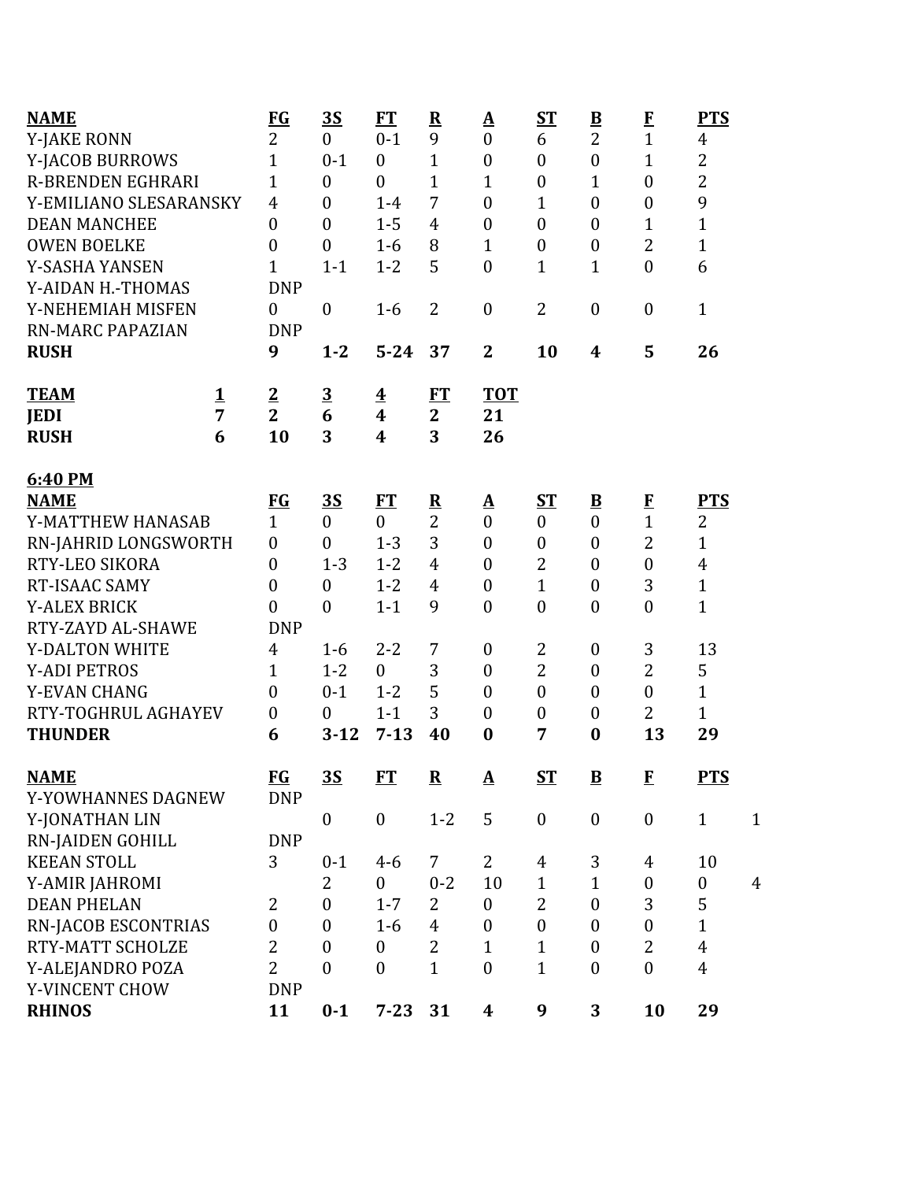| <b>NAME</b>              |          | $FG$             | <u>3S</u>        | FT                      | ${\bf R}$               | <u>A</u>         | ST               | $\overline{\mathbf{B}}$  | $\bf{F}$         | <b>PTS</b>       |                |
|--------------------------|----------|------------------|------------------|-------------------------|-------------------------|------------------|------------------|--------------------------|------------------|------------------|----------------|
| Y-JAKE RONN              |          | $\overline{2}$   | $\boldsymbol{0}$ | $0 - 1$                 | 9                       | $\boldsymbol{0}$ | 6                | $\overline{2}$           | $\mathbf{1}$     | 4                |                |
| Y-JACOB BURROWS          |          | 1                | $0 - 1$          | $\boldsymbol{0}$        | $\mathbf{1}$            | $\boldsymbol{0}$ | $\boldsymbol{0}$ | $\boldsymbol{0}$         | $\mathbf 1$      | $\overline{c}$   |                |
| <b>R-BRENDEN EGHRARI</b> |          | 1                | $\boldsymbol{0}$ | $\boldsymbol{0}$        | 1                       | $\mathbf{1}$     | $\boldsymbol{0}$ | 1                        | $\boldsymbol{0}$ | $\overline{c}$   |                |
| Y-EMILIANO SLESARANSKY   |          | $\overline{4}$   | $\overline{0}$   | $1-4$                   | 7                       | $\boldsymbol{0}$ | $\mathbf{1}$     | $\overline{0}$           | $\boldsymbol{0}$ | 9                |                |
| <b>DEAN MANCHEE</b>      |          | 0                | $\boldsymbol{0}$ | $1 - 5$                 | 4                       | $\overline{0}$   | $\boldsymbol{0}$ | $\mathbf{0}$             | $\mathbf 1$      | $\mathbf{1}$     |                |
| <b>OWEN BOELKE</b>       |          | 0                | $\boldsymbol{0}$ | $1-6$                   | 8                       | $\mathbf{1}$     | $\boldsymbol{0}$ | $\boldsymbol{0}$         | $\overline{2}$   | $\mathbf{1}$     |                |
| Y-SASHA YANSEN           |          | 1                | $1 - 1$          | $1 - 2$                 | 5                       | $\boldsymbol{0}$ | $\mathbf{1}$     | 1                        | $\boldsymbol{0}$ | 6                |                |
| Y-AIDAN H.-THOMAS        |          | <b>DNP</b>       |                  |                         |                         |                  |                  |                          |                  |                  |                |
| Y-NEHEMIAH MISFEN        |          | $\theta$         | $\boldsymbol{0}$ | $1-6$                   | $\overline{2}$          | $\boldsymbol{0}$ | $\overline{2}$   | $\boldsymbol{0}$         | $\boldsymbol{0}$ | $\mathbf{1}$     |                |
| <b>RN-MARC PAPAZIAN</b>  |          | <b>DNP</b>       |                  |                         |                         |                  |                  |                          |                  |                  |                |
| <b>RUSH</b>              |          | 9                | $1 - 2$          | $5 - 24$                | 37                      | $\mathbf{2}$     | 10               | $\boldsymbol{4}$         | 5                | 26               |                |
| <b>TEAM</b>              | <u>1</u> | $\overline{2}$   | $\overline{3}$   | $\overline{\mathbf{4}}$ | ET                      | <b>TOT</b>       |                  |                          |                  |                  |                |
| <b>JEDI</b>              | 7        | $\overline{2}$   | 6                | 4                       | $\mathbf{2}$            | 21               |                  |                          |                  |                  |                |
| <b>RUSH</b>              | 6        | 10               | 3                | 4                       | 3                       | 26               |                  |                          |                  |                  |                |
| 6:40 PM                  |          |                  |                  |                         |                         |                  |                  |                          |                  |                  |                |
| <b>NAME</b>              |          | $FG$             | <u>3S</u>        | <u>FT</u>               | $\overline{\mathbf{R}}$ | $\Delta$         | ST               | $\underline{\mathbf{B}}$ | E                | <b>PTS</b>       |                |
| Y-MATTHEW HANASAB        |          | $\mathbf{1}$     | $\overline{0}$   | $\overline{0}$          | $\overline{2}$          | $\mathbf{0}$     | $\boldsymbol{0}$ | $\mathbf{0}$             | $\mathbf{1}$     | 2                |                |
| RN-JAHRID LONGSWORTH     |          | $\boldsymbol{0}$ | $\boldsymbol{0}$ | $1 - 3$                 | 3                       | $\boldsymbol{0}$ | $\boldsymbol{0}$ | $\mathbf{0}$             | $\overline{2}$   | $\mathbf{1}$     |                |
| RTY-LEO SIKORA           |          | $\theta$         | $1 - 3$          | $1 - 2$                 | $\overline{4}$          | $\overline{0}$   | $\overline{2}$   | $\mathbf{0}$             | $\mathbf{0}$     | $\overline{4}$   |                |
| RT-ISAAC SAMY            |          | 0                | $\boldsymbol{0}$ | $1 - 2$                 | 4                       | $\boldsymbol{0}$ | $\mathbf{1}$     | $\boldsymbol{0}$         | 3                | $\mathbf{1}$     |                |
| <b>Y-ALEX BRICK</b>      |          | $\overline{0}$   | $\boldsymbol{0}$ | $1 - 1$                 | 9                       | $\boldsymbol{0}$ | $\boldsymbol{0}$ | $\boldsymbol{0}$         | $\boldsymbol{0}$ | $\mathbf{1}$     |                |
| RTY-ZAYD AL-SHAWE        |          | <b>DNP</b>       |                  |                         |                         |                  |                  |                          |                  |                  |                |
| Y-DALTON WHITE           |          | $\overline{4}$   | $1 - 6$          | $2 - 2$                 | 7                       | $\boldsymbol{0}$ | 2                | $\boldsymbol{0}$         | 3                | 13               |                |
| <b>Y-ADI PETROS</b>      |          | 1                | $1 - 2$          | $\overline{0}$          | 3                       | $\boldsymbol{0}$ | $\overline{2}$   | $\boldsymbol{0}$         | $\overline{2}$   | 5                |                |
| Y-EVAN CHANG             |          | $\theta$         | $0 - 1$          | $1 - 2$                 | 5                       | $\theta$         | $\boldsymbol{0}$ | $\mathbf{0}$             | $\boldsymbol{0}$ | $\mathbf{1}$     |                |
| RTY-TOGHRUL AGHAYEV      |          | $\boldsymbol{0}$ | $\boldsymbol{0}$ | $1 - 1$                 | 3                       | $\boldsymbol{0}$ | $\boldsymbol{0}$ | $\boldsymbol{0}$         | $\overline{2}$   | $\mathbf{1}$     |                |
| <b>THUNDER</b>           |          | 6                | $3 - 12$         | $7 - 13$                | 40                      | $\bf{0}$         | 7                | $\bf{0}$                 | 13               | 29               |                |
| <b>NAME</b>              |          | $FG$             | $\overline{35}$  | <b>FT</b>               | $\mathbf R$             | ${\bf A}$        | $ST$             | $\overline{\mathbf{B}}$  | ${\bf F}$        | <b>PTS</b>       |                |
| Y-YOWHANNES DAGNEW       |          | <b>DNP</b>       |                  |                         |                         |                  |                  |                          |                  |                  |                |
| Y-JONATHAN LIN           |          |                  | $\boldsymbol{0}$ | $\boldsymbol{0}$        | $1 - 2$                 | 5                | $\boldsymbol{0}$ | $\boldsymbol{0}$         | $\boldsymbol{0}$ | $\mathbf{1}$     | $\mathbf{1}$   |
| <b>RN-JAIDEN GOHILL</b>  |          | <b>DNP</b>       |                  |                         |                         |                  |                  |                          |                  |                  |                |
| <b>KEEAN STOLL</b>       |          | 3                | $0 - 1$          | $4 - 6$                 | $\overline{7}$          | $\overline{2}$   | 4                | 3                        | 4                | 10               |                |
| Y-AMIR JAHROMI           |          |                  | $\overline{2}$   | $\boldsymbol{0}$        | $0 - 2$                 | 10               | $\mathbf{1}$     | $\mathbf{1}$             | $\boldsymbol{0}$ | $\boldsymbol{0}$ | $\overline{4}$ |
| <b>DEAN PHELAN</b>       |          | 2                | $\boldsymbol{0}$ | $1 - 7$                 | 2                       | $\boldsymbol{0}$ | $\overline{2}$   | $\mathbf{0}$             | 3                | 5                |                |
| RN-JACOB ESCONTRIAS      |          | $\overline{0}$   | $\boldsymbol{0}$ | $1-6$                   | $\overline{4}$          | $\boldsymbol{0}$ | $\boldsymbol{0}$ | $\mathbf{0}$             | $\boldsymbol{0}$ | $\mathbf{1}$     |                |
| RTY-MATT SCHOLZE         |          | $\overline{2}$   | $\boldsymbol{0}$ | $\boldsymbol{0}$        | $\overline{2}$          | $\mathbf{1}$     | $\mathbf{1}$     | $\mathbf{0}$             | $\overline{2}$   | 4                |                |
| Y-ALEJANDRO POZA         |          | $\overline{2}$   | $\overline{0}$   | $\boldsymbol{0}$        | $\mathbf{1}$            | $\mathbf{0}$     | $\mathbf{1}$     | $\mathbf{0}$             | $\mathbf{0}$     | $\overline{4}$   |                |
| Y-VINCENT CHOW           |          | <b>DNP</b>       |                  |                         |                         |                  |                  |                          |                  |                  |                |
| <b>RHINOS</b>            |          | 11               | $0 - 1$          | $7 - 23$                | 31                      | 4                | 9                | 3                        | 10               | 29               |                |